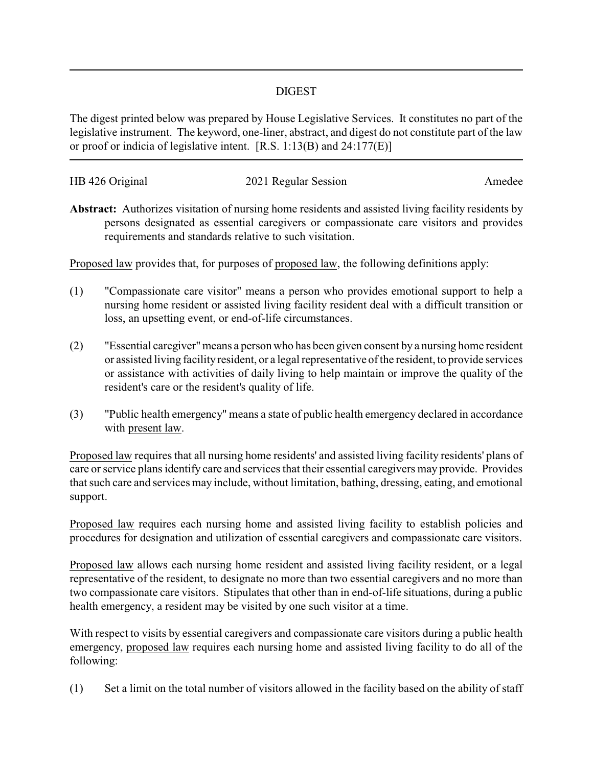## DIGEST

The digest printed below was prepared by House Legislative Services. It constitutes no part of the legislative instrument. The keyword, one-liner, abstract, and digest do not constitute part of the law or proof or indicia of legislative intent. [R.S. 1:13(B) and 24:177(E)]

| HB 426 Original | 2021 Regular Session | Amedee |
|-----------------|----------------------|--------|
|                 |                      |        |

**Abstract:** Authorizes visitation of nursing home residents and assisted living facility residents by persons designated as essential caregivers or compassionate care visitors and provides requirements and standards relative to such visitation.

Proposed law provides that, for purposes of proposed law, the following definitions apply:

- (1) "Compassionate care visitor" means a person who provides emotional support to help a nursing home resident or assisted living facility resident deal with a difficult transition or loss, an upsetting event, or end-of-life circumstances.
- (2) "Essential caregiver"means a person who has been given consent by a nursing home resident or assisted living facility resident, or a legal representative of the resident, to provide services or assistance with activities of daily living to help maintain or improve the quality of the resident's care or the resident's quality of life.
- (3) "Public health emergency" means a state of public health emergency declared in accordance with present law.

Proposed law requires that all nursing home residents' and assisted living facility residents' plans of care or service plans identify care and services that their essential caregivers may provide. Provides that such care and services may include, without limitation, bathing, dressing, eating, and emotional support.

Proposed law requires each nursing home and assisted living facility to establish policies and procedures for designation and utilization of essential caregivers and compassionate care visitors.

Proposed law allows each nursing home resident and assisted living facility resident, or a legal representative of the resident, to designate no more than two essential caregivers and no more than two compassionate care visitors. Stipulates that other than in end-of-life situations, during a public health emergency, a resident may be visited by one such visitor at a time.

With respect to visits by essential caregivers and compassionate care visitors during a public health emergency, proposed law requires each nursing home and assisted living facility to do all of the following:

(1) Set a limit on the total number of visitors allowed in the facility based on the ability of staff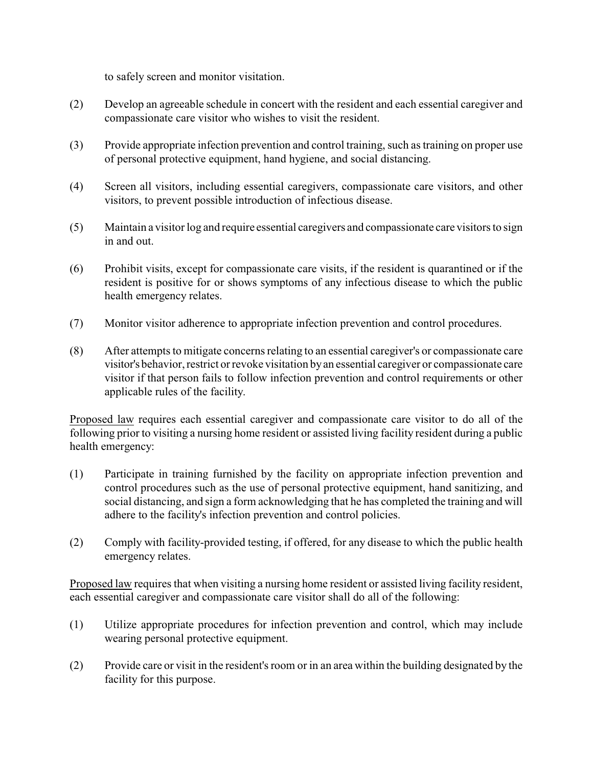to safely screen and monitor visitation.

- (2) Develop an agreeable schedule in concert with the resident and each essential caregiver and compassionate care visitor who wishes to visit the resident.
- (3) Provide appropriate infection prevention and control training,such as training on proper use of personal protective equipment, hand hygiene, and social distancing.
- (4) Screen all visitors, including essential caregivers, compassionate care visitors, and other visitors, to prevent possible introduction of infectious disease.
- (5) Maintain a visitor log and require essential caregivers and compassionate care visitors to sign in and out.
- (6) Prohibit visits, except for compassionate care visits, if the resident is quarantined or if the resident is positive for or shows symptoms of any infectious disease to which the public health emergency relates.
- (7) Monitor visitor adherence to appropriate infection prevention and control procedures.
- (8) After attempts to mitigate concerns relating to an essential caregiver's or compassionate care visitor's behavior, restrict or revoke visitation byan essential caregiver or compassionate care visitor if that person fails to follow infection prevention and control requirements or other applicable rules of the facility.

Proposed law requires each essential caregiver and compassionate care visitor to do all of the following prior to visiting a nursing home resident or assisted living facility resident during a public health emergency:

- (1) Participate in training furnished by the facility on appropriate infection prevention and control procedures such as the use of personal protective equipment, hand sanitizing, and social distancing, and sign a form acknowledging that he has completed the training and will adhere to the facility's infection prevention and control policies.
- (2) Comply with facility-provided testing, if offered, for any disease to which the public health emergency relates.

Proposed law requires that when visiting a nursing home resident or assisted living facility resident, each essential caregiver and compassionate care visitor shall do all of the following:

- (1) Utilize appropriate procedures for infection prevention and control, which may include wearing personal protective equipment.
- (2) Provide care or visit in the resident's room or in an area within the building designated by the facility for this purpose.